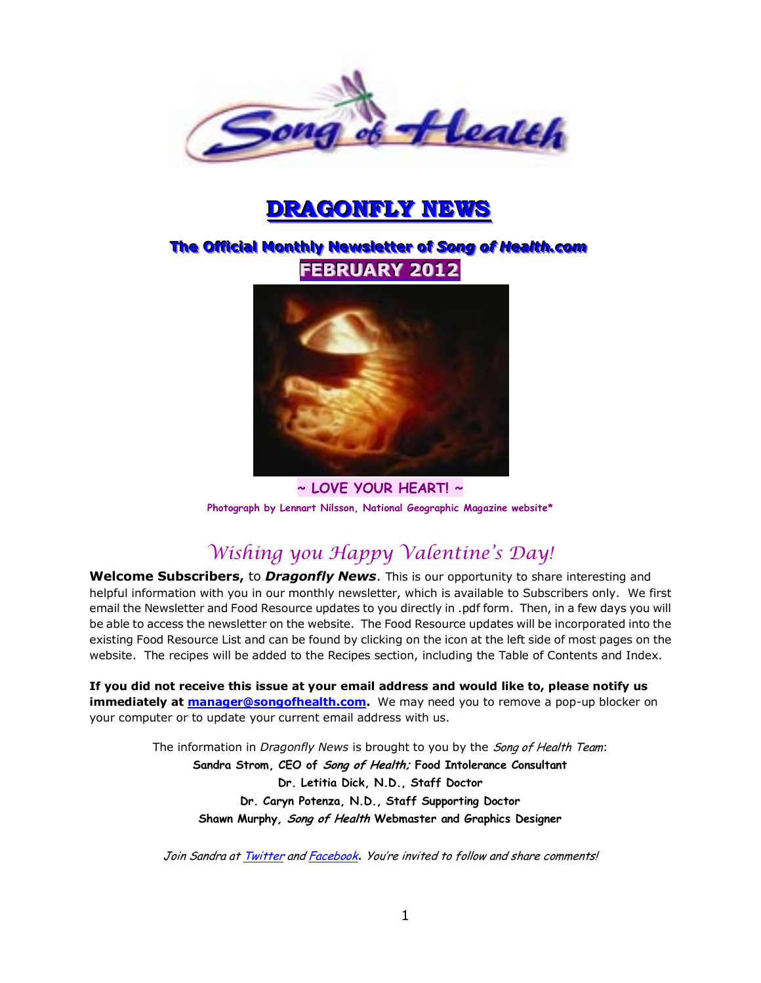

# **DRAGONFLY NEWS**

# $\overline{\text{The Official Monthly} }$  Newsletter of Song of Health.com **FFEEBBRRUUAARRYY 22001122**



**~ LOVE YOUR HEART! ~ Photograph by Lennart Nilsson, National Geographic Magazine website\*** 

# *Wishing you Happy Valentine's Day!*

**Welcome Subscribers,** to *Dragonfly News*. This is our opportunity to share interesting and helpful information with you in our monthly newsletter, which is available to Subscribers only. We first email the Newsletter and Food Resource updates to you directly in .pdf form. Then, in a few days you will be able to access the newsletter on the website. The Food Resource updates will be incorporated into the existing Food Resource List and can be found by clicking on the icon at the left side of most pages on the website. The recipes will be added to the Recipes section, including the Table of Contents and Index.

**If you did not receive this issue at your email address and would like to, please notify us immediately at [manager@songofhealth.com.](mailto:manager@songofhealth.com)** We may need you to remove a pop-up blocker on your computer or to update your current email address with us.

> The information in *Dragonfly News* is brought to you by the Song of Health Team: **Sandra Strom, CEO of Song of Health; Food Intolerance Consultant Dr. Letitia Dick, N.D., Staff Doctor Dr. Caryn Potenza, N.D., Staff Supporting Doctor Shawn Murphy, Song of Health Webmaster and Graphics Designer**

Join Sandra a[t Twitter](https://twitter.com/songofhealth) an[d Facebook](http://facebook.com/home.php?ref=home#/home.php?filter=pp). You're invited to follow and share comments!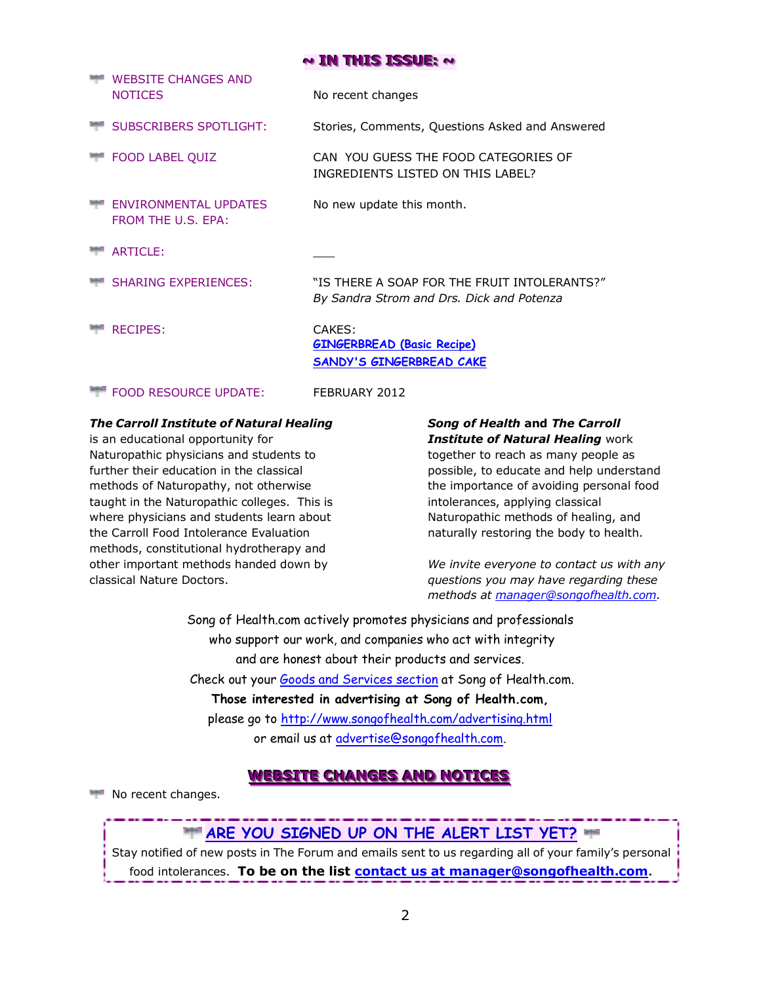### **~~~ IIINNN TTTHHHIIISSS IIISSSSSSUUUEEE::: ~~~**

| <b>WEBSITE CHANGES AND</b><br><b>NOTICES</b>       | No recent changes                                                                          |
|----------------------------------------------------|--------------------------------------------------------------------------------------------|
| <b>SUBSCRIBERS SPOTLIGHT:</b>                      | Stories, Comments, Questions Asked and Answered                                            |
| <b>FOOD LABEL QUIZ</b>                             | CAN YOU GUESS THE FOOD CATEGORIES OF<br>INGREDIENTS LISTED ON THIS LABEL?                  |
| <b>FNVIRONMENTAL UPDATES</b><br>FROM THE U.S. EPA: | No new update this month.                                                                  |
| ARTICLE:                                           |                                                                                            |
| <b>SHARING EXPERIENCES:</b>                        | "IS THERE A SOAP FOR THE FRUIT INTOI FRANTS?"<br>By Sandra Strom and Drs. Dick and Potenza |
| <b>RECIPES:</b>                                    | CAKES:<br><b>GINGERBREAD (Basic Recipe)</b><br><b>SANDY'S GINGERBREAD CAKE</b>             |
| <b>FOOD RESOURCE UPDATE:</b>                       | FEBRUARY 2012                                                                              |

### *The Carroll Institute of Natural Healing*

is an educational opportunity for Naturopathic physicians and students to further their education in the classical methods of Naturopathy, not otherwise taught in the Naturopathic colleges. This is where physicians and students learn about the Carroll Food Intolerance Evaluation methods, constitutional hydrotherapy and other important methods handed down by classical Nature Doctors.

## *Song of Health* **and** *The Carroll Institute of Natural Healing* work

together to reach as many people as possible, to educate and help understand the importance of avoiding personal food intolerances, applying classical Naturopathic methods of healing, and naturally restoring the body to health.

*We invite everyone to contact us with any questions you may have regarding these methods at [manager@songofhealth.com.](mailto:manager@songofhealth.com)* 

Song of Health.com actively promotes physicians and professionals who support our work, and companies who act with integrity and are honest about their products and services. Check out your [Goods and Services section](http://www.songofhealth.com/goods.html) at Song of Health.com. **Those interested in advertising at Song of Health.com,**  please go to<http://www.songofhealth.com/advertising.html> or email us at [advertise@songofhealth.com.](mailto:advertise@songofhealth.com)

### **WEBSITE CHANGES AND NOTICES**

No recent changes.

# **ARE YOU SIGNED UP ON THE ALERT LIST YET?**

Stay notified of new posts in The Forum and emails sent to us regarding all of your family"s personal food intolerances. **To be on the list [contact us at manager@songofhealth.com](mailto:contact%20us%20at%20manager@songofhealth.com)**.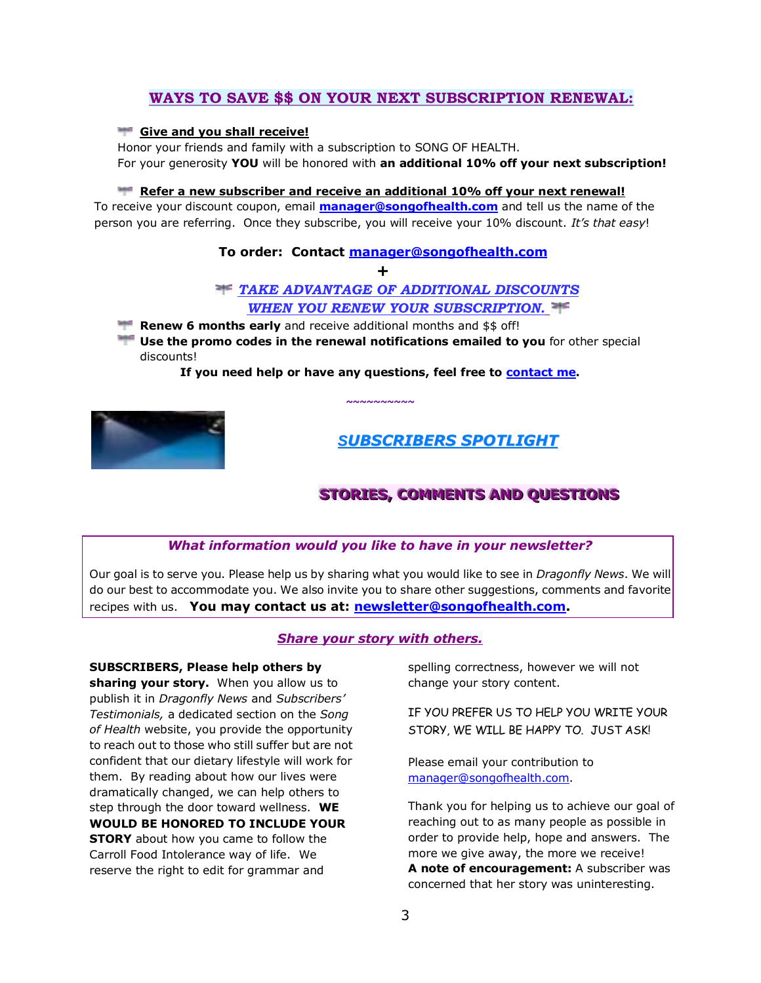## **WAYS TO SAVE \$\$ ON YOUR NEXT SUBSCRIPTION RENEWAL:**

### **Give and you shall receive!**

Honor your friends and family with a subscription to SONG OF HEALTH. For your generosity **YOU** will be honored with **an additional 10% off your next subscription!** 

### **Refer a new subscriber and receive an additional 10% off your next renewal!**

To receive your discount coupon, email **[manager@songofhealth.com](mailto:manager@songofhealth.com)** and tell us the name of the person you are referring. Once they subscribe, you will receive your 10% discount. *It's that easy*!

### **To order: Contact [manager@songofhealth.com](mailto:manager@songofhealth.com)**

**+**

### *TAKE ADVANTAGE OF ADDITIONAL DISCOUNTS WHEN YOU RENEW YOUR SUBSCRIPTION.*

- **Renew 6 months early** and receive additional months and \$\$ off!
- **Use the promo codes in the renewal notifications emailed to you** for other special discounts!

**If you need help or have any questions, feel free to [contact me.](mailto:manager@songofhealth.com?subject=contact%20us)** 

**~~~~~~~~~~**



# *SUBSCRIBERS SPOTLIGHT*

# **STORIES, COMMENTS AND QUESTIONS**

### *What information would you like to have in your newsletter?*

Our goal is to serve you. Please help us by sharing what you would like to see in *Dragonfly News*. We will do our best to accommodate you. We also invite you to share other suggestions, comments and favorite recipes with us. **You may contact us at: [newsletter@songofhealth.com.](mailto:newsletter@songofhealth.com)**

### *Share your story with others.*

**SUBSCRIBERS, Please help others by sharing your story.** When you allow us to publish it in *Dragonfly News* and *Subscribers' Testimonials,* a dedicated section on the *Song of Health* website, you provide the opportunity to reach out to those who still suffer but are not confident that our dietary lifestyle will work for them. By reading about how our lives were dramatically changed, we can help others to step through the door toward wellness. **WE WOULD BE HONORED TO INCLUDE YOUR STORY** about how you came to follow the Carroll Food Intolerance way of life. We reserve the right to edit for grammar and

spelling correctness, however we will not change your story content.

IF YOU PREFER US TO HELP YOU WRITE YOUR STORY, WE WILL BE HAPPY TO. JUST ASK!

Please email your contribution to manager@songofhealth.com.

Thank you for helping us to achieve our goal of reaching out to as many people as possible in order to provide help, hope and answers. The more we give away, the more we receive! **A note of encouragement:** A subscriber was concerned that her story was uninteresting.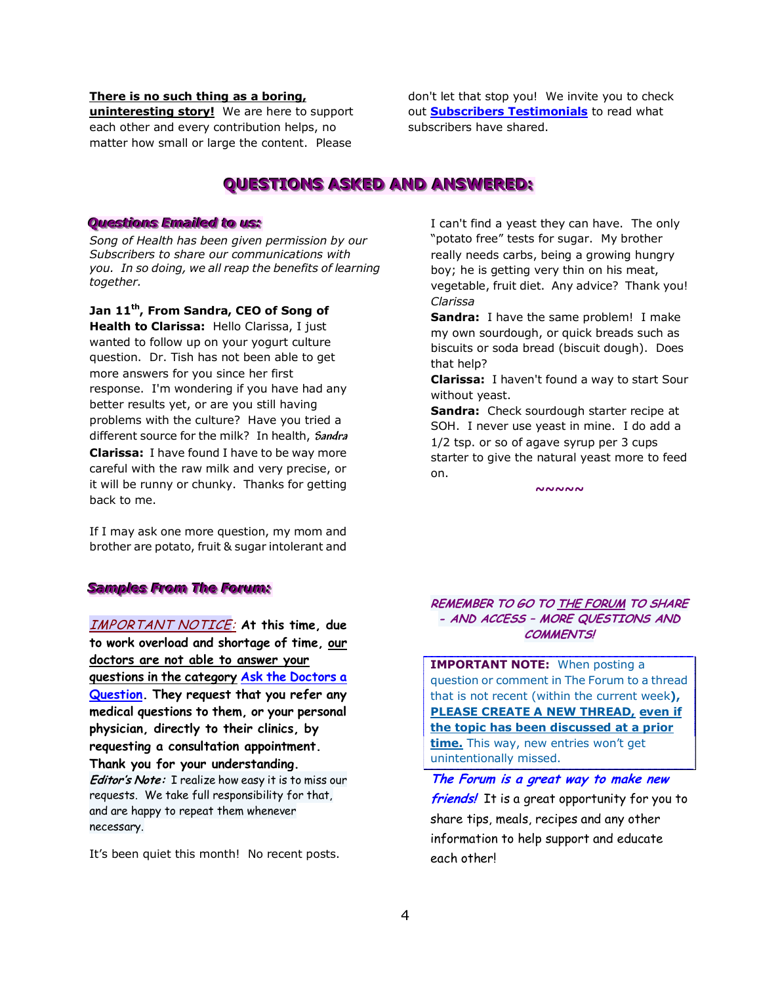### **There is no such thing as a boring,**

**uninteresting story!** We are here to support each other and every contribution helps, no matter how small or large the content. Please

don't let that stop you! We invite you to check out **[Subscribers Testimonials](http://www.songofhealth.com/testimonials.html)** to read what subscribers have shared.

# **QUESTIONS ASKED AND ANSWERED:**

### **Questions Emailed to us:**

*Song of Health has been given permission by our Subscribers to share our communications with you. In so doing, we all reap the benefits of learning together.* 

**Jan 11th, From Sandra, CEO of Song of Health to Clarissa:** Hello Clarissa, I just wanted to follow up on your yogurt culture question. Dr. Tish has not been able to get more answers for you since her first response. I'm wondering if you have had any better results yet, or are you still having problems with the culture? Have you tried a different source for the milk? In health, **Sandra Clarissa:** I have found I have to be way more careful with the raw milk and very precise, or it will be runny or chunky. Thanks for getting back to me.

If I may ask one more question, my mom and brother are potato, fruit & sugar intolerant and

### *Samples From The Forum:*

IMPORTANT NOTICE: **At this time, due to work overload and shortage of time, our doctors are not able to answer your questions in the category [Ask the Doctors a](http://www.songofhealth.com/cgi/forum/mf_browse.pl?Com=category&Category=a01cI799)  [Question.](http://www.songofhealth.com/cgi/forum/mf_browse.pl?Com=category&Category=a01cI799) They request that you refer any medical questions to them, or your personal physician, directly to their clinics, by requesting a consultation appointment. Thank you for your understanding. Editor's Note:** I realize how easy it is to miss our requests. We take full responsibility for that, and are happy to repeat them whenever necessary.

It's been quiet this month! No recent posts.

I can't find a yeast they can have. The only "potato free" tests for sugar. My brother really needs carbs, being a growing hungry boy; he is getting very thin on his meat, vegetable, fruit diet. Any advice? Thank you! *Clarissa* 

**Sandra:** I have the same problem! I make my own sourdough, or quick breads such as biscuits or soda bread (biscuit dough). Does that help?

**Clarissa:** I haven't found a way to start Sour without yeast.

**Sandra:** Check sourdough starter recipe at SOH. I never use yeast in mine. I do add a 1/2 tsp. or so of agave syrup per 3 cups starter to give the natural yeast more to feed on.

*~~~~~* 

### **REMEMBER TO GO T[O THE FORUM](http://www.songofhealth.com/subscribers/forumintro.html) TO SHARE - AND ACCESS – MORE QUESTIONS AND COMMENTS!**

**IMPORTANT NOTE:** When posting a question or comment in The Forum to a thread that is not recent (within the current week**), PLEASE CREATE A NEW THREAD, even if the topic has been discussed at a prior time.** This way, new entries won't get unintentionally missed.

**The Forum is a great way to make new friends!** It is a great opportunity for you to share tips, meals, recipes and any other information to help support and educate each other!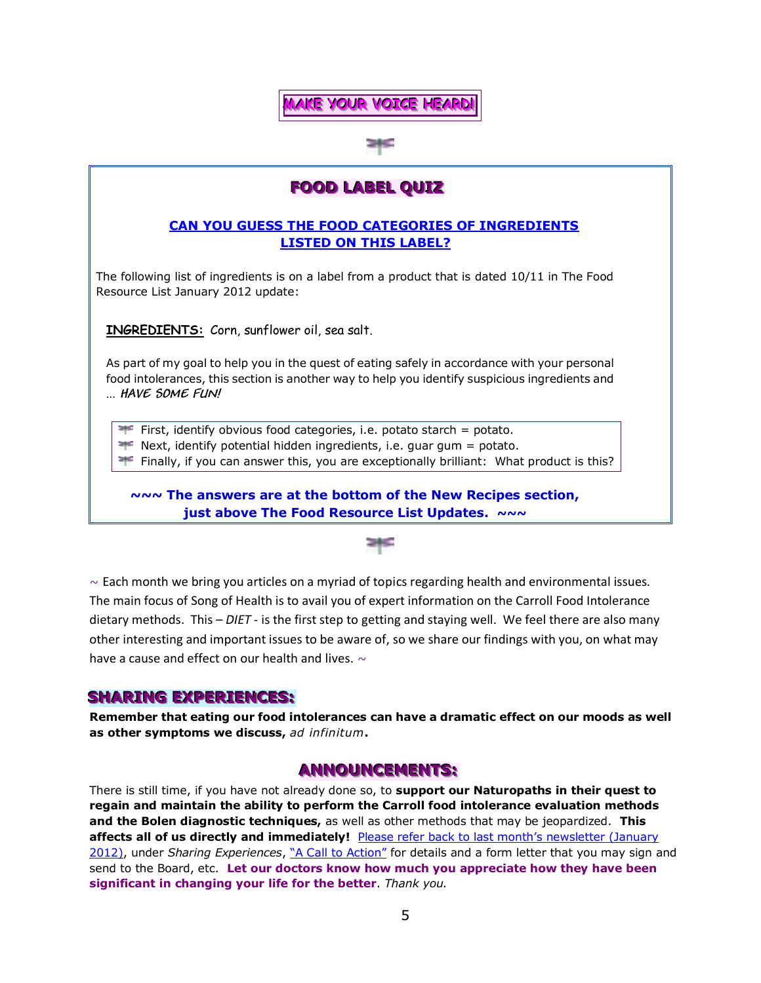

# **FOOD LABEL QUIZ**

## **CAN YOU GUESS THE FOOD CATEGORIES OF INGREDIENTS LISTED ON THIS LABEL?**

The following list of ingredients is on a label from a product that is dated 10/11 in The Food Resource List January 2012 update:

**INGREDIENTS:** Corn, sunflower oil, sea salt.

As part of my goal to help you in the quest of eating safely in accordance with your personal food intolerances, this section is another way to help you identify suspicious ingredients and … **HAVE SOME FUN!**

First, identify obvious food categories, i.e. potato starch = potato.

 $\blacktriangleright$  Next, identify potential hidden ingredients, i.e. guar gum = potato.

**Fight** Finally, if you can answer this, you are exceptionally brilliant: What product is this?

**~~~ The answers are at the bottom of the New Recipes section, just above The Food Resource List Updates.** *~~~*



 $\sim$  Each month we bring you articles on a myriad of topics regarding health and environmental issues. The main focus of Song of Health is to avail you of expert information on the Carroll Food Intolerance dietary methods. This – *DIET* - is the first step to getting and staying well. We feel there are also many other interesting and important issues to be aware of, so we share our findings with you, on what may have a cause and effect on our health and lives.  $\sim$ 

# **SHARING EXPERIENCES:**

**Remember that eating our food intolerances can have a dramatic effect on our moods as well as other symptoms we discuss,** *ad infinitum***.**

### **ANNOUNCEMENTS:**

There is still time, if you have not already done so, to **support our Naturopaths in their quest to regain and maintain the ability to perform the Carroll food intolerance evaluation methods and the Bolen diagnostic techniques,** as well as other methods that may be jeopardized. **This affects all of us directly and immediately!** [Please refer back to last month"s newsletter \(Jan](http://www.songofhealth.com/subscribers/newsletter.html)uary [2012\),](http://www.songofhealth.com/subscribers/newsletter.html) under Sharing Experiences, ["A Call to Action"](http://www.songofhealth.com/subscribers/newsletter.html#sharing) for details and a form letter that you may sign and send to the Board, etc. **Let our doctors know how much you appreciate how they have been significant in changing your life for the better**. *Thank you.*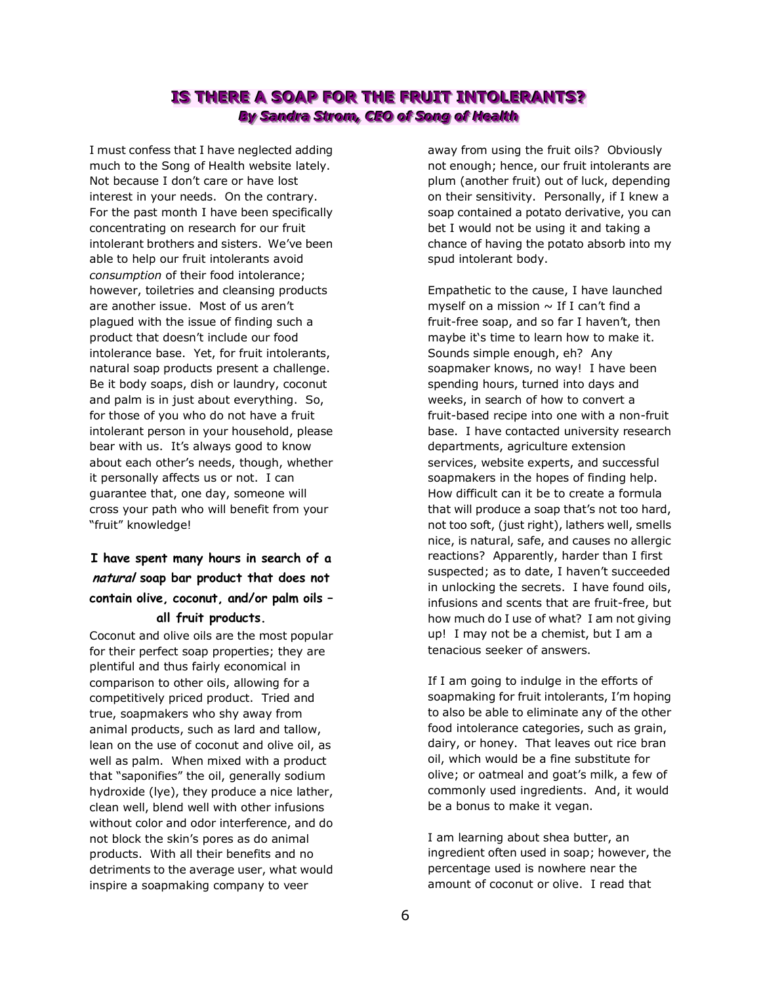# **IS THERE A SOAP FOR THE FRUIT INTOLERANTS?** *By Sandra Strom, CEO of Song of Health*

I must confess that I have neglected adding much to the Song of Health website lately. Not because I don"t care or have lost interest in your needs. On the contrary. For the past month I have been specifically concentrating on research for our fruit intolerant brothers and sisters. We've been able to help our fruit intolerants avoid *consumption* of their food intolerance; however, toiletries and cleansing products are another issue. Most of us aren't plagued with the issue of finding such a product that doesn"t include our food intolerance base. Yet, for fruit intolerants, natural soap products present a challenge. Be it body soaps, dish or laundry, coconut and palm is in just about everything. So, for those of you who do not have a fruit intolerant person in your household, please bear with us. It's always good to know about each other"s needs, though, whether it personally affects us or not. I can guarantee that, one day, someone will cross your path who will benefit from your "fruit" knowledge!

# **I have spent many hours in search of a natural soap bar product that does not contain olive, coconut, and/or palm oils – all fruit products.**

Coconut and olive oils are the most popular for their perfect soap properties; they are plentiful and thus fairly economical in comparison to other oils, allowing for a competitively priced product. Tried and true, soapmakers who shy away from animal products, such as lard and tallow, lean on the use of coconut and olive oil, as well as palm. When mixed with a product that "saponifies" the oil, generally sodium hydroxide (lye), they produce a nice lather, clean well, blend well with other infusions without color and odor interference, and do not block the skin"s pores as do animal products. With all their benefits and no detriments to the average user, what would inspire a soapmaking company to veer

away from using the fruit oils? Obviously not enough; hence, our fruit intolerants are plum (another fruit) out of luck, depending on their sensitivity. Personally, if I knew a soap contained a potato derivative, you can bet I would not be using it and taking a chance of having the potato absorb into my spud intolerant body.

Empathetic to the cause, I have launched myself on a mission  $\sim$  If I can't find a fruit-free soap, and so far I haven't, then maybe it"s time to learn how to make it. Sounds simple enough, eh? Any soapmaker knows, no way! I have been spending hours, turned into days and weeks, in search of how to convert a fruit-based recipe into one with a non-fruit base. I have contacted university research departments, agriculture extension services, website experts, and successful soapmakers in the hopes of finding help. How difficult can it be to create a formula that will produce a soap that's not too hard, not too soft, (just right), lathers well, smells nice, is natural, safe, and causes no allergic reactions? Apparently, harder than I first suspected; as to date, I haven't succeeded in unlocking the secrets. I have found oils, infusions and scents that are fruit-free, but how much do I use of what? I am not giving up! I may not be a chemist, but I am a tenacious seeker of answers.

If I am going to indulge in the efforts of soapmaking for fruit intolerants, I"m hoping to also be able to eliminate any of the other food intolerance categories, such as grain, dairy, or honey. That leaves out rice bran oil, which would be a fine substitute for olive; or oatmeal and goat's milk, a few of commonly used ingredients. And, it would be a bonus to make it vegan.

I am learning about shea butter, an ingredient often used in soap; however, the percentage used is nowhere near the amount of coconut or olive. I read that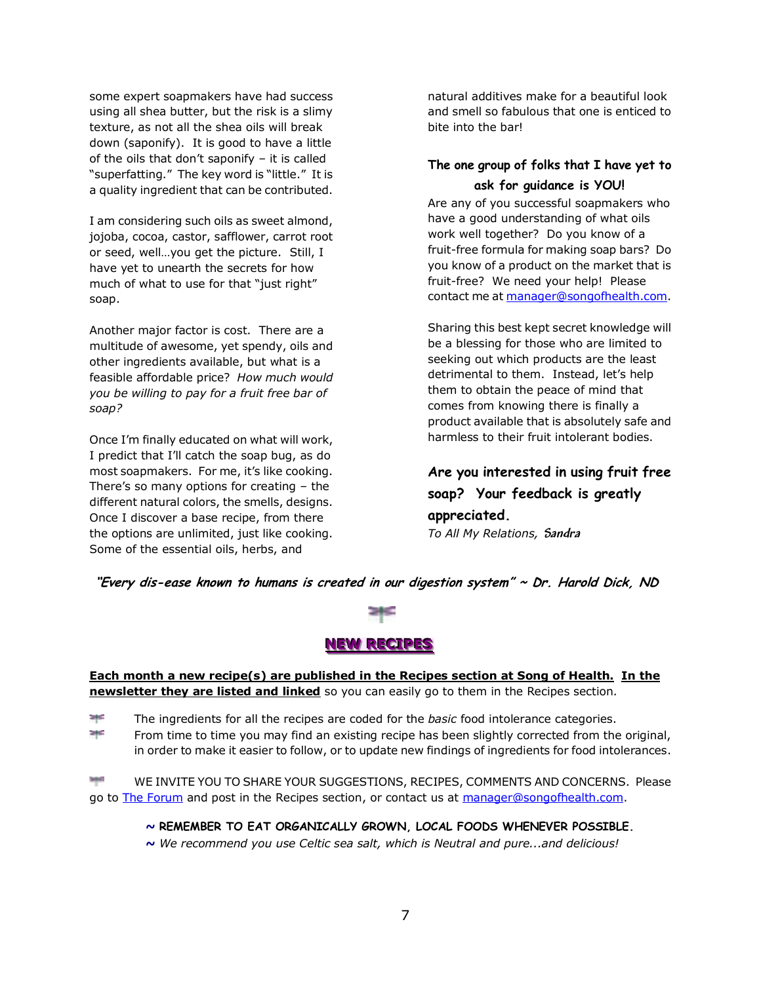some expert soapmakers have had success using all shea butter, but the risk is a slimy texture, as not all the shea oils will break down (saponify). It is good to have a little of the oils that don"t saponify – it is called "superfatting." The key word is "little." It is a quality ingredient that can be contributed.

I am considering such oils as sweet almond, jojoba, cocoa, castor, safflower, carrot root or seed, well…you get the picture. Still, I have yet to unearth the secrets for how much of what to use for that "just right" soap.

Another major factor is cost. There are a multitude of awesome, yet spendy, oils and other ingredients available, but what is a feasible affordable price? *How much would you be willing to pay for a fruit free bar of soap?* 

Once I"m finally educated on what will work, I predict that I"ll catch the soap bug, as do most soapmakers. For me, it's like cooking. There's so many options for creating  $-$  the different natural colors, the smells, designs. Once I discover a base recipe, from there the options are unlimited, just like cooking. Some of the essential oils, herbs, and

natural additives make for a beautiful look and smell so fabulous that one is enticed to bite into the bar!

# **The one group of folks that I have yet to ask for guidance is YOU!**

Are any of you successful soapmakers who have a good understanding of what oils work well together? Do you know of a fruit-free formula for making soap bars? Do you know of a product on the market that is fruit-free? We need your help! Please contact me a[t manager@songofhealth.com.](mailto:manager@songofhealth.com)

Sharing this best kept secret knowledge will be a blessing for those who are limited to seeking out which products are the least detrimental to them. Instead, let's help them to obtain the peace of mind that comes from knowing there is finally a product available that is absolutely safe and harmless to their fruit intolerant bodies.

**Are you interested in using fruit free soap? Your feedback is greatly appreciated.**  *To All My Relations,* **Sandra**

**"Every dis-ease known to humans is created in our digestion system" ~ Dr. Harold Dick, ND** 



### **NEW RECIPES**

**Each month a new recipe(s) are published in the Recipes section at Song of Health. In the newsletter they are listed and linked** so you can easily go to them in the Recipes section.

≥†£ The ingredients for all the recipes are coded for the *basic* food intolerance categories.

e pe From time to time you may find an existing recipe has been slightly corrected from the original, in order to make it easier to follow, or to update new findings of ingredients for food intolerances.

WE INVITE YOU TO SHARE YOUR SUGGESTIONS, RECIPES, COMMENTS AND CONCERNS. Please go to [The Forum](http://www.songofhealth.com/subscribers/forumintro.html) and post in the Recipes section, or contact us at [manager@songofhealth.com.](mailto:manager@songofhealth.com)

*~* **REMEMBER TO EAT ORGANICALLY GROWN, LOCAL FOODS WHENEVER POSSIBLE.**

*~ We recommend you use Celtic sea salt, which is Neutral and pure...and delicious!*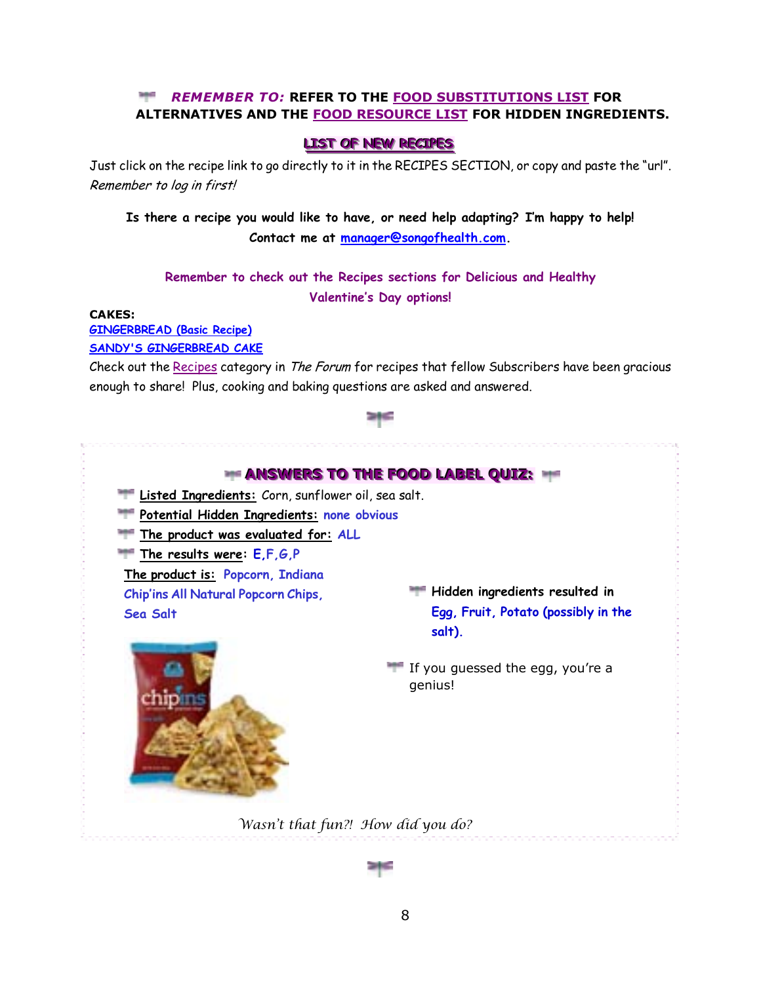### *REMEMBER TO:* **REFER TO THE [FOOD SUBSTITUTIONS LIST](http://www.songofhealth.com/subscribers/foodresources/foodsub.html) FOR ALTERNATIVES AND THE [FOOD RESOURCE LIST](http://www.songofhealth.com/subscribers/foodresources/intro.html) FOR HIDDEN INGREDIENTS.**

### **LLIST OF NEW RECIPES**

Just click on the recipe link to go directly to it in the RECIPES SECTION, or copy and paste the "url". Remember to log in first!

**Is there a recipe you would like to have, or need help adapting? I'm happy to help! Contact me at [manager@songofhealth.com.](mailto:manager@songofhealth.com)** 

# **Remember to check out the Recipes sections for Delicious and Healthy Valentine's Day options!**

### **CAKES:**

**[GINGERBREAD \(Basic Recipe\)](http://www.songofhealth.com/subscribers/recipes/cakes.html#GingerbreadBasic)**

**[SANDY'S GINGERBREAD CAKE](http://www.songofhealth.com/subscribers/recipes/cakes.html#SandysGingerbreadCake)**

Check out the [Recipes](http://www.songofhealth.com/cgi/forum/mf_browse.pl?Com=category&Category=a01xF166) category in The Forum for recipes that fellow Subscribers have been gracious enough to share! Plus, cooking and baking questions are asked and answered.

### **SHE**



*Wasn't that fun?! How did you do?*

8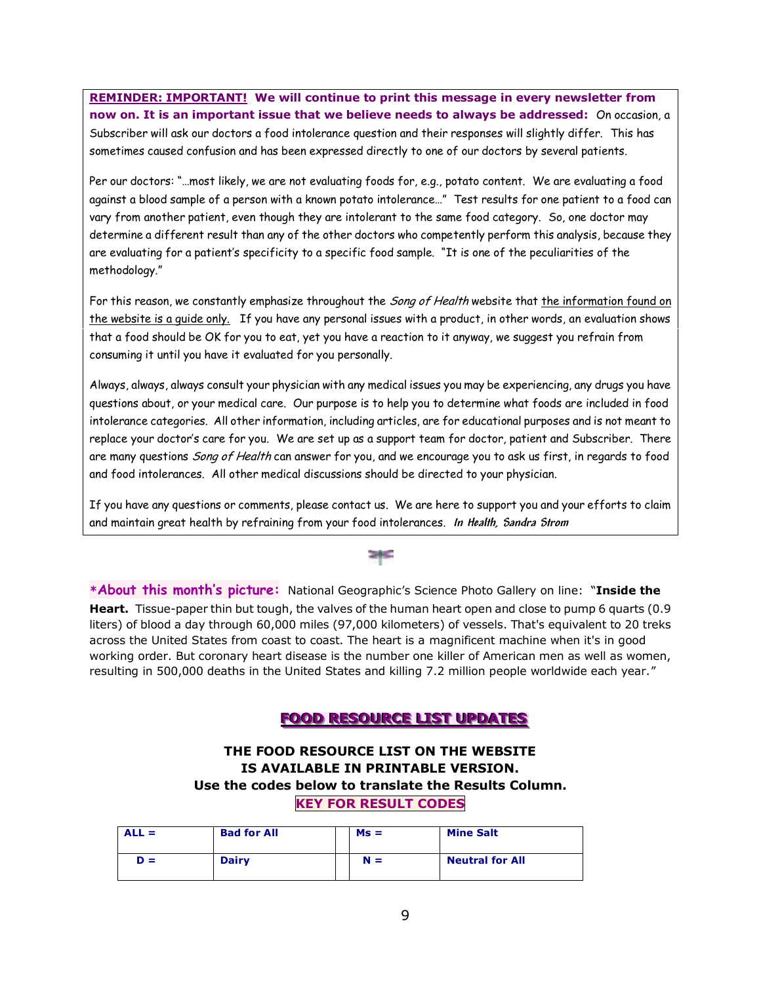**REMINDER: IMPORTANT! We will continue to print this message in every newsletter from now on. It is an important issue that we believe needs to always be addressed:** On occasion, a Subscriber will ask our doctors a food intolerance question and their responses will slightly differ. This has sometimes caused confusion and has been expressed directly to one of our doctors by several patients.

Per our doctors: "…most likely, we are not evaluating foods for, e.g., potato content. We are evaluating a food against a blood sample of a person with a known potato intolerance…" Test results for one patient to a food can vary from another patient, even though they are intolerant to the same food category. So, one doctor may determine a different result than any of the other doctors who competently perform this analysis, because they are evaluating for a patient's specificity to a specific food sample. "It is one of the peculiarities of the methodology."

For this reason, we constantly emphasize throughout the Song of Health website that the information found on the website is a guide only. If you have any personal issues with a product, in other words, an evaluation shows that a food should be OK for you to eat, yet you have a reaction to it anyway, we suggest you refrain from consuming it until you have it evaluated for you personally.

Always, always, always consult your physician with any medical issues you may be experiencing, any drugs you have questions about, or your medical care. Our purpose is to help you to determine what foods are included in food intolerance categories. All other information, including articles, are for educational purposes and is not meant to replace your doctor's care for you. We are set up as a support team for doctor, patient and Subscriber. There are many questions Song of Health can answer for you, and we encourage you to ask us first, in regards to food and food intolerances. All other medical discussions should be directed to your physician.

If you have any questions or comments, please contact us. We are here to support you and your efforts to claim and maintain great health by refraining from your food intolerances. **In Health, Sandra Strom**

**\*About this month's picture:** National Geographic"s Science Photo Gallery on line: "**Inside the Heart.** Tissue-paper thin but tough, the valves of the human heart open and close to pump 6 quarts (0.9 liters) of blood a day through 60,000 miles (97,000 kilometers) of vessels. That's equivalent to 20 treks across the United States from coast to coast. The heart is a magnificent machine when it's in good working order. But coronary heart disease is the number one killer of American men as well as women, resulting in 500,000 deaths in the United States and killing 7.2 million people worldwide each year."

# **FFOOOODD RREESSOOUURRCCEELLIISSTT UUPPDDAATTEESS**

### **THE FOOD RESOURCE LIST ON THE WEBSITE IS AVAILABLE IN PRINTABLE VERSION. Use the codes below to translate the Results Column. KEY FOR RESULT CODES**

| $ALL =$ | <b>Bad for All</b> | $Ms =$ | <b>Mine Salt</b>       |
|---------|--------------------|--------|------------------------|
| $D =$   | <b>Dairy</b>       | $N =$  | <b>Neutral for All</b> |